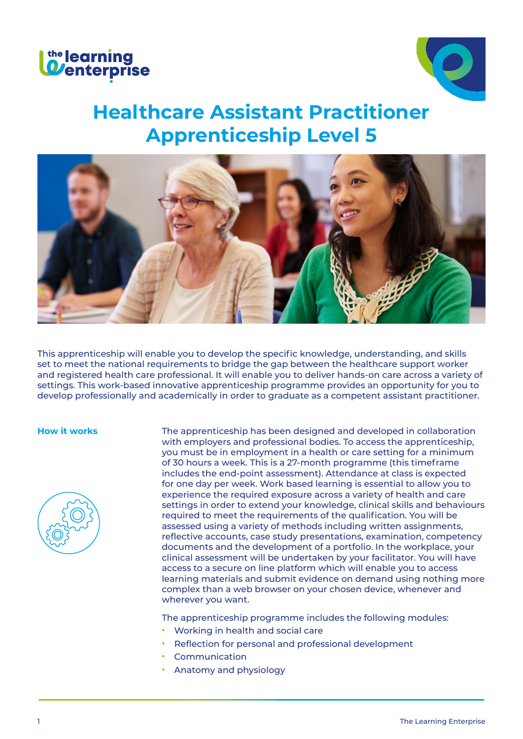



# **Healthcare Assistant Practitioner Apprenticeship Level 5**



This apprenticeship will enable you to develop the specific knowledge, understanding, and skills set to meet the national requirements to bridge the gap between the healthcare support worker and registered health care professional. It will enable you to deliver hands-on care across a variety of settings. This work-based innovative apprenticeship programme provides an opportunity for you to develop professionally and academically in order to graduate as a competent assistant practitioner.



**How it works** The apprenticeship has been designed and developed in collaboration with employers and professional bodies. To access the apprenticeship, you must be in employment in a health or care setting for a minimum of 30 hours a week. This is a 27-month programme (this timeframe includes the end-point assessment). Attendance at class is expected for one day per week. Work based learning is essential to allow you to experience the required exposure across a variety of health and care settings in order to extend your knowledge, clinical skills and behaviours required to meet the requirements of the qualification. You will be assessed using a variety of methods including written assignments, reflective accounts, case study presentations, examination, competency documents and the development of a portfolio. In the workplace, your clinical assessment will be undertaken by your facilitator. You will have access to a secure on line platform which will enable you to access learning materials and submit evidence on demand using nothing more complex than a web browser on your chosen device, whenever and wherever you want.

The apprenticeship programme includes the following modules:

- **•** Working in health and social care
- **•** Reflection for personal and professional development
- **•** Communication
- **•** Anatomy and physiology